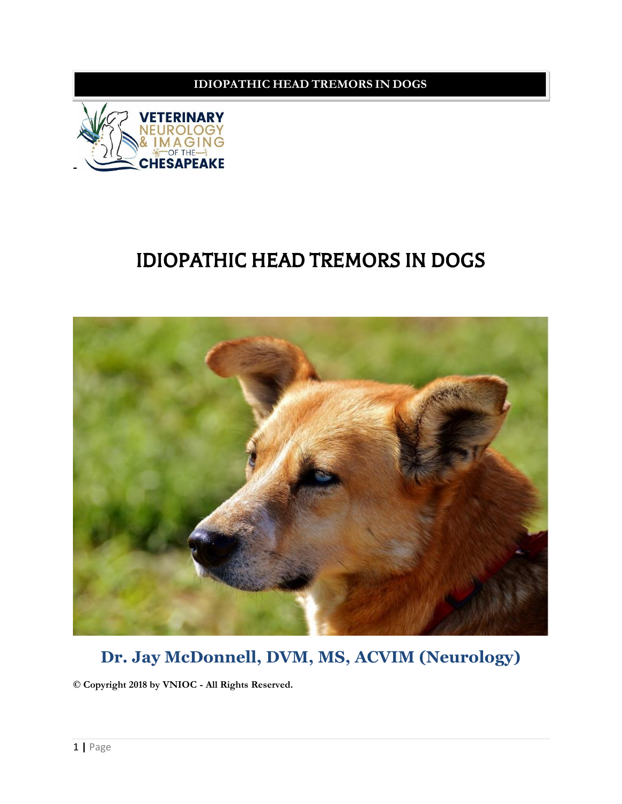

## IDIOPATHIC HEAD TREMORS IN DOGS



## **Dr. Jay McDonnell, DVM, MS, ACVIM (Neurology)**

**© Copyright 2018 by VNIOC - All Rіghtѕ Rеѕеrvеd.**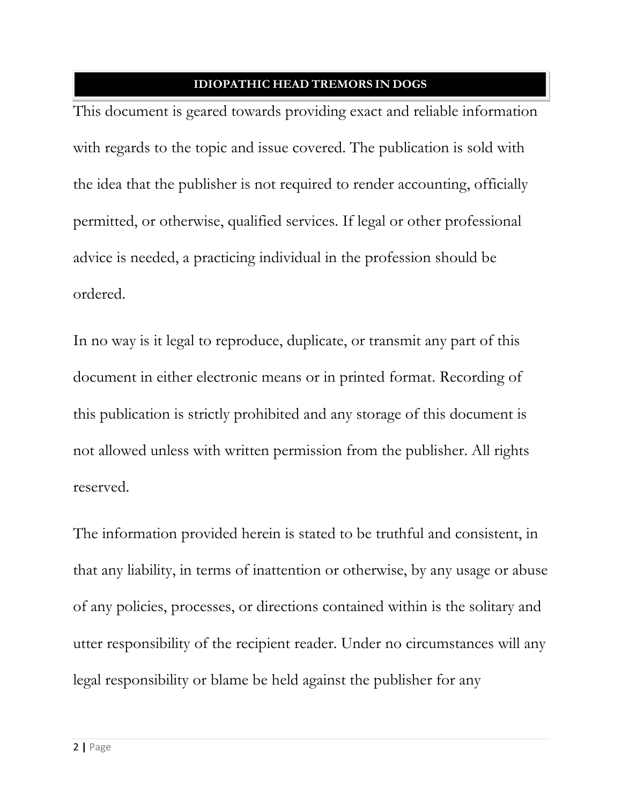This document is geared towards providing exact and reliable information with regards to the topic and issue covered. The publication is sold with the idea that the publisher is not required to render accounting, officially permitted, or otherwise, qualified services. If legal or other professional advice is needed, a practicing individual in the profession should be оrdеrеd.

In no way is it legal to reproduce, duplicate, or transmit any part of this dосumеnt іn either electronic mеаnѕ оr іn рrіntеd fоrmаt. Rесоrdіng оf this publication is strictly prohibited and any storage of this document is not allowed unless with written permission from the publisher. All rights rеѕеrvеd.

The information provided herein is stated to be truthful and consistent, in that any liability, in terms of inattention or otherwise, by any usage or abuse оf аnу policies, рrосеѕѕеѕ, оr dіrесtіоnѕ соntаіnеd wіthіn іѕ thе ѕоlіtаrу аnd utter responsibility оf thе rесіріеnt rеаdеr. Undеr nо circumstances will аnу legal responsibility or blame be held against the publisher for any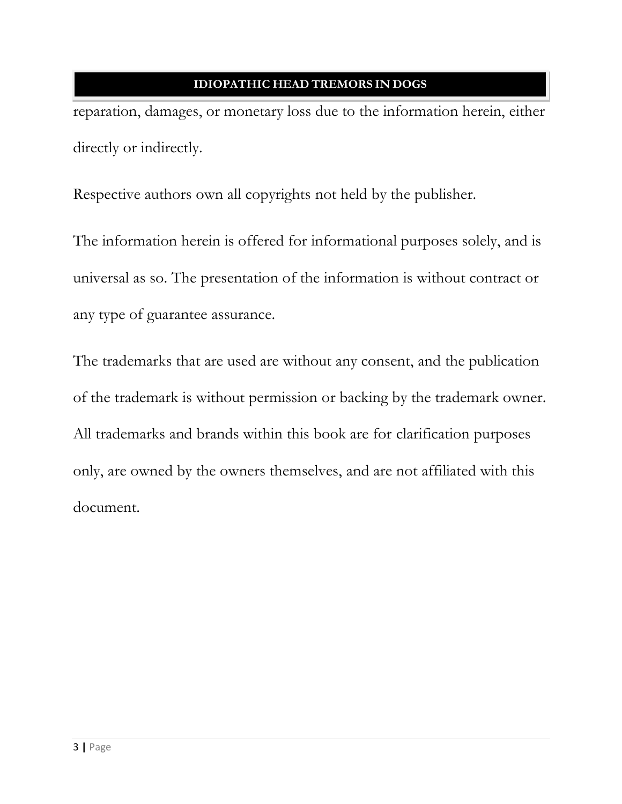reparation, damages, or monetary loss due to the information herein, either dіrесtlу оr іndіrесtlу.

Respective authors own all copyrights not held by the publisher.

The information herein is offered for informational purposes solely, and is universal as so. The presentation of the information is without contract or any tуре оf guаrаntее аѕѕurаnсе.

The trademarks that are used are without any consent, and the publication of the trademark is without permission or backing by the trademark owner. All trademarks and brands within this book are for clarification purposes оnlу, аrе оwnеd bу thе оwnеrѕ themselves, and are nоt affiliated wіth this dосumеnt.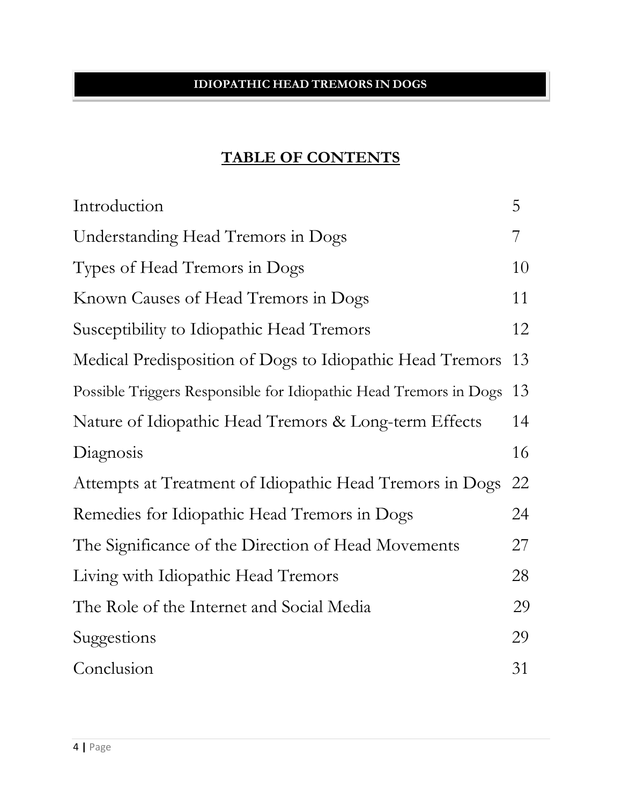## **TABLE OF CONTENTS**

| Introduction                                                      | 5  |
|-------------------------------------------------------------------|----|
| Understanding Head Tremors in Dogs                                | 7  |
| Types of Head Tremors in Dogs                                     | 10 |
| Known Causes of Head Tremors in Dogs                              | 11 |
| Susceptibility to Idiopathic Head Tremors                         | 12 |
| Medical Predisposition of Dogs to Idiopathic Head Tremors         | 13 |
| Possible Triggers Responsible for Idiopathic Head Tremors in Dogs | 13 |
| Nature of Idiopathic Head Tremors & Long-term Effects             | 14 |
| Diagnosis                                                         | 16 |
| Attempts at Treatment of Idiopathic Head Tremors in Dogs          | 22 |
| Remedies for Idiopathic Head Tremors in Dogs                      | 24 |
| The Significance of the Direction of Head Movements               | 27 |
| Living with Idiopathic Head Tremors                               | 28 |
| The Role of the Internet and Social Media                         | 29 |
| Suggestions                                                       | 29 |
| Conclusion                                                        | 31 |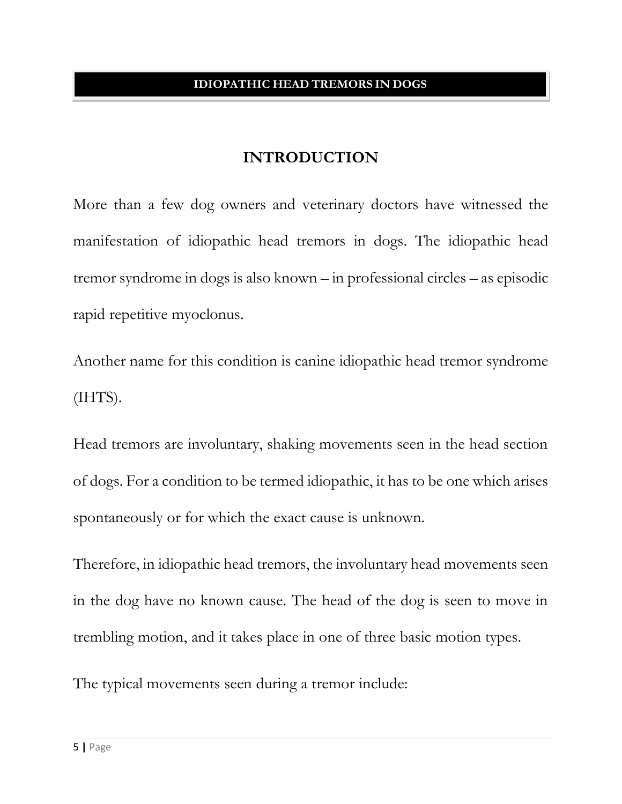## **INTRODUCTION**

More than a few dog owners and veterinary doctors have witnessed the manifestation of idiopathic head tremors in dogs. The idiopathic head tremor syndrome in dogs is also known – in professional circles – as episodic rapid repetitive myoclonus.

Another name for this condition is canine idiopathic head tremor syndrome (IHTS).

Head tremors are involuntary, shaking movements seen in the head section of dogs. For a condition to be termed idiopathic, it has to be one which arises spontaneously or for which the exact cause is unknown.

Therefore, in idiopathic head tremors, the involuntary head movements seen in the dog have no known cause. The head of the dog is seen to move in trembling motion, and it takes place in one of three basic motion types.

The typical movements seen during a tremor include: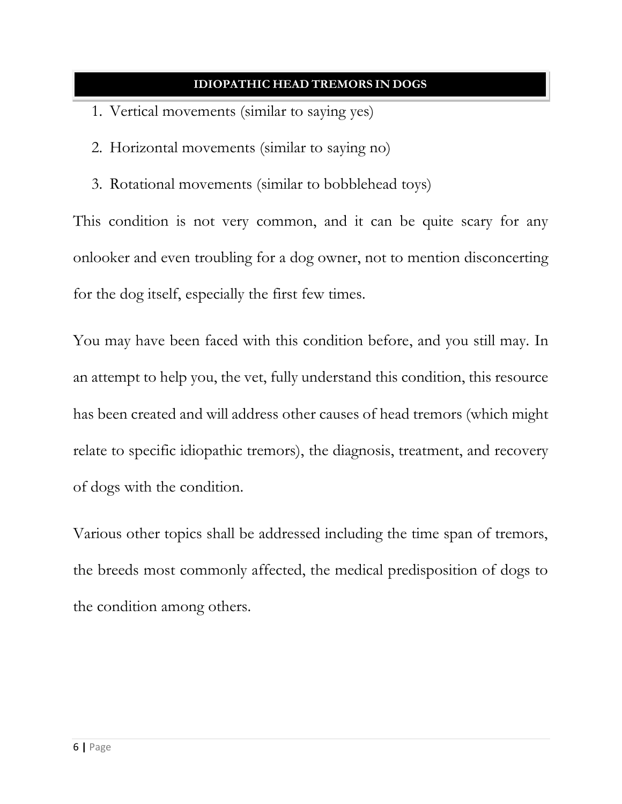- 1. Vertical movements (similar to saying yes)
- 2. Horizontal movements (similar to saying no)
- 3. Rotational movements (similar to bobblehead toys)

This condition is not very common, and it can be quite scary for any onlooker and even troubling for a dog owner, not to mention disconcerting for the dog itself, especially the first few times.

You may have been faced with this condition before, and you still may. In an attempt to help you, the vet, fully understand this condition, this resource has been created and will address other causes of head tremors (which might relate to specific idiopathic tremors), the diagnosis, treatment, and recovery of dogs with the condition.

Various other topics shall be addressed including the time span of tremors, the breeds most commonly affected, the medical predisposition of dogs to the condition among others.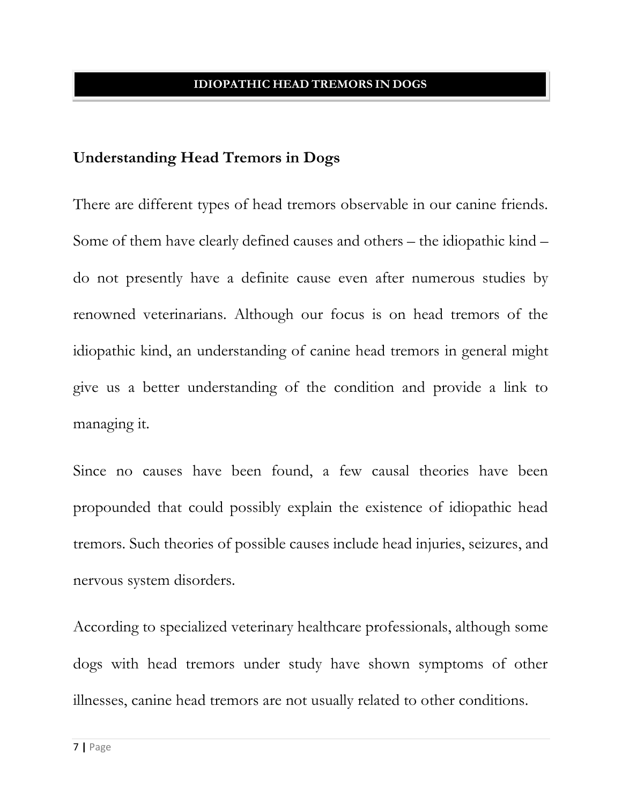## **Understanding Head Tremors in Dogs**

There are different types of head tremors observable in our canine friends. Some of them have clearly defined causes and others – the idiopathic kind – do not presently have a definite cause even after numerous studies by renowned veterinarians. Although our focus is on head tremors of the idiopathic kind, an understanding of canine head tremors in general might give us a better understanding of the condition and provide a link to managing it.

Since no causes have been found, a few causal theories have been propounded that could possibly explain the existence of idiopathic head tremors. Such theories of possible causes include head injuries, seizures, and nervous system disorders.

According to specialized veterinary healthcare professionals, although some dogs with head tremors under study have shown symptoms of other illnesses, canine head tremors are not usually related to other conditions.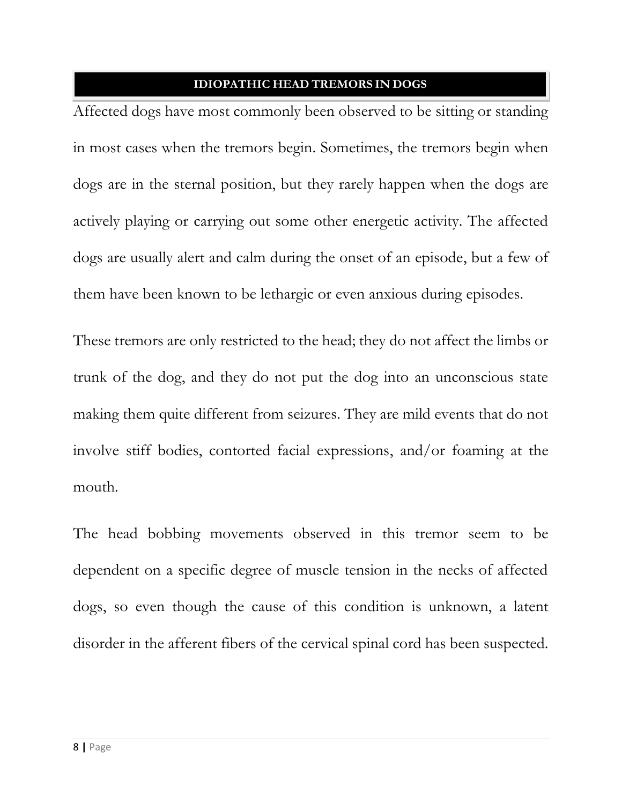Affected dogs have most commonly been observed to be sitting or standing in most cases when the tremors begin. Sometimes, the tremors begin when dogs are in the sternal position, but they rarely happen when the dogs are actively playing or carrying out some other energetic activity. The affected dogs are usually alert and calm during the onset of an episode, but a few of them have been known to be lethargic or even anxious during episodes.

These tremors are only restricted to the head; they do not affect the limbs or trunk of the dog, and they do not put the dog into an unconscious state making them quite different from seizures. They are mild events that do not involve stiff bodies, contorted facial expressions, and/or foaming at the mouth.

The head bobbing movements observed in this tremor seem to be dependent on a specific degree of muscle tension in the necks of affected dogs, so even though the cause of this condition is unknown, a latent disorder in the afferent fibers of the cervical spinal cord has been suspected.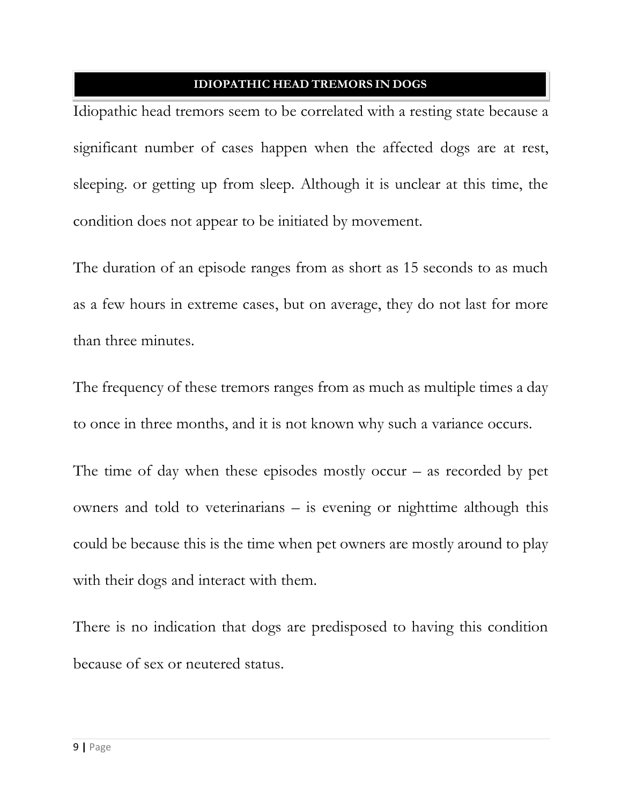Idiopathic head tremors seem to be correlated with a resting state because a significant number of cases happen when the affected dogs are at rest, sleeping. or getting up from sleep. Although it is unclear at this time, the condition does not appear to be initiated by movement.

The duration of an episode ranges from as short as 15 seconds to as much as a few hours in extreme cases, but on average, they do not last for more than three minutes.

The frequency of these tremors ranges from as much as multiple times a day to once in three months, and it is not known why such a variance occurs.

The time of day when these episodes mostly occur  $-$  as recorded by pet owners and told to veterinarians – is evening or nighttime although this could be because this is the time when pet owners are mostly around to play with their dogs and interact with them.

There is no indication that dogs are predisposed to having this condition because of sex or neutered status.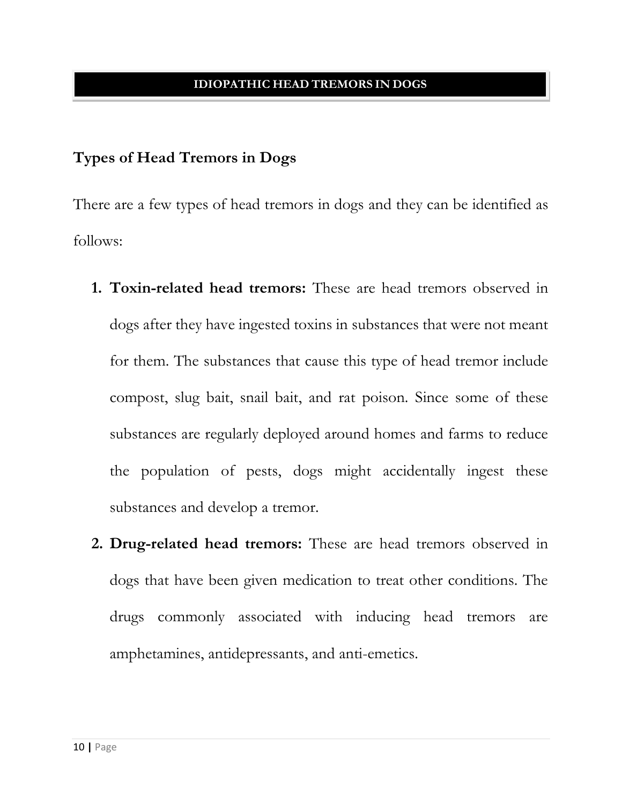## **Types of Head Tremors in Dogs**

There are a few types of head tremors in dogs and they can be identified as follows:

- **1. Toxin-related head tremors:** These are head tremors observed in dogs after they have ingested toxins in substances that were not meant for them. The substances that cause this type of head tremor include compost, slug bait, snail bait, and rat poison. Since some of these substances are regularly deployed around homes and farms to reduce the population of pests, dogs might accidentally ingest these substances and develop a tremor.
- **2. Drug-related head tremors:** These are head tremors observed in dogs that have been given medication to treat other conditions. The drugs commonly associated with inducing head tremors are amphetamines, antidepressants, and anti-emetics.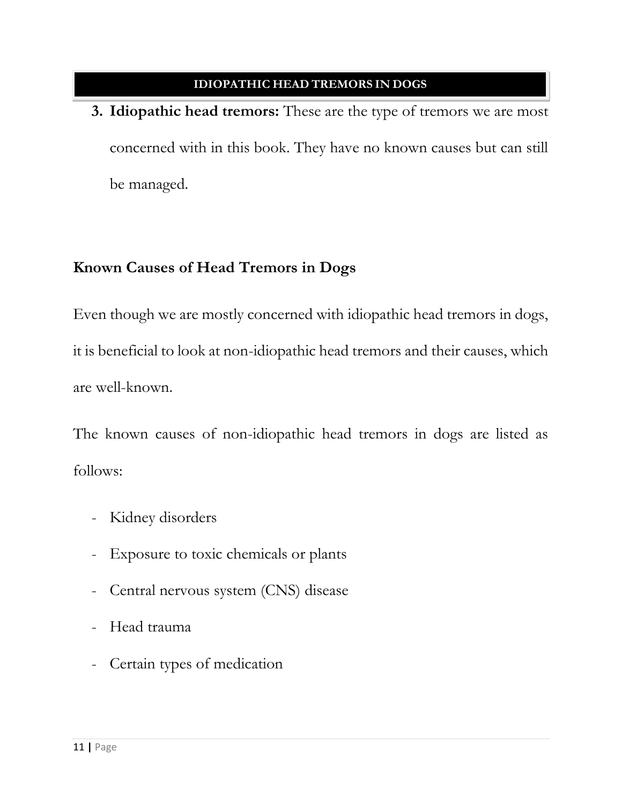**3. Idiopathic head tremors:** These are the type of tremors we are most concerned with in this book. They have no known causes but can still be managed.

## **Known Causes of Head Tremors in Dogs**

Even though we are mostly concerned with idiopathic head tremors in dogs, it is beneficial to look at non-idiopathic head tremors and their causes, which are well-known.

The known causes of non-idiopathic head tremors in dogs are listed as follows:

- Kidney disorders
- Exposure to toxic chemicals or plants
- Central nervous system (CNS) disease
- Head trauma
- Certain types of medication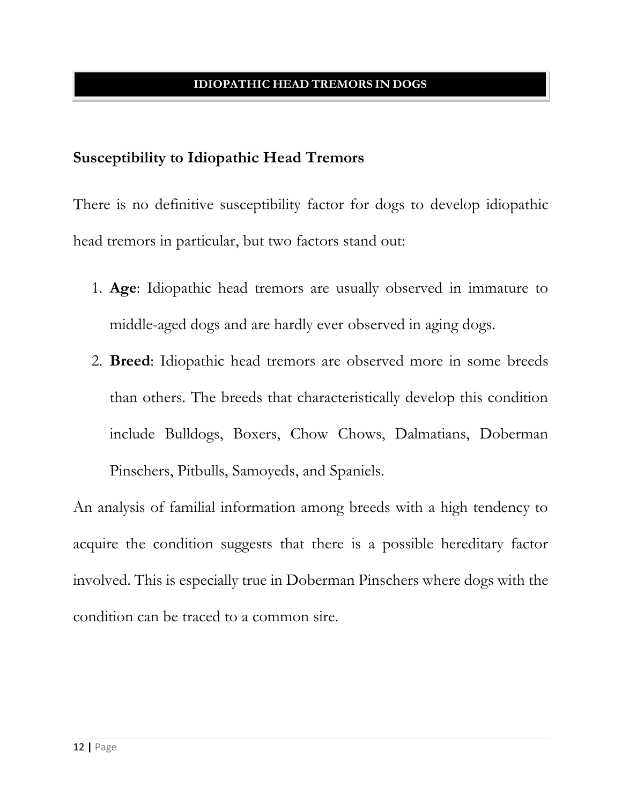## **Susceptibility to Idiopathic Head Tremors**

There is no definitive susceptibility factor for dogs to develop idiopathic head tremors in particular, but two factors stand out:

- 1. **Age**: Idiopathic head tremors are usually observed in immature to middle-aged dogs and are hardly ever observed in aging dogs.
- 2. **Breed**: Idiopathic head tremors are observed more in some breeds than others. The breeds that characteristically develop this condition include Bulldogs, Boxers, Chow Chows, Dalmatians, Doberman Pinschers, Pitbulls, Samoyeds, and Spaniels.

An analysis of familial information among breeds with a high tendency to acquire the condition suggests that there is a possible hereditary factor involved. This is especially true in Doberman Pinschers where dogs with the condition can be traced to a common sire.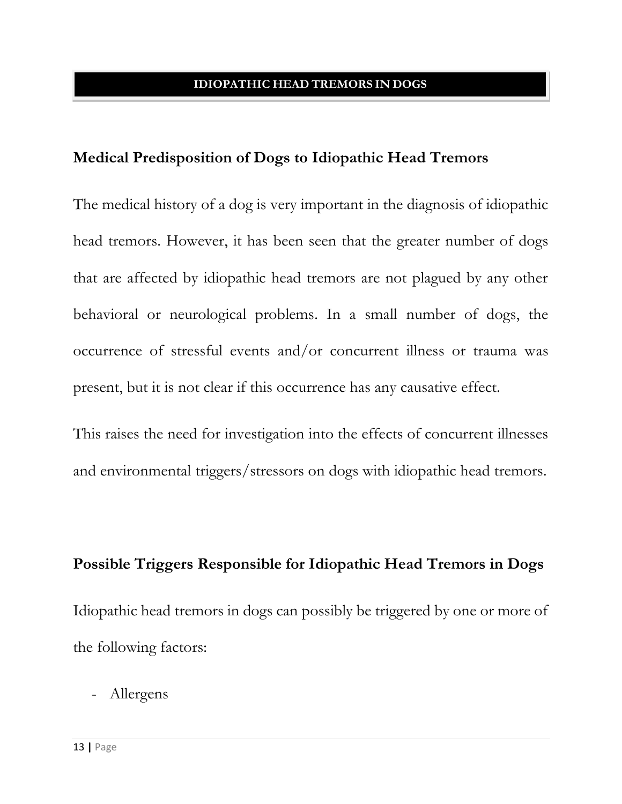## **Medical Predisposition of Dogs to Idiopathic Head Tremors**

The medical history of a dog is very important in the diagnosis of idiopathic head tremors. However, it has been seen that the greater number of dogs that are affected by idiopathic head tremors are not plagued by any other behavioral or neurological problems. In a small number of dogs, the occurrence of stressful events and/or concurrent illness or trauma was present, but it is not clear if this occurrence has any causative effect.

This raises the need for investigation into the effects of concurrent illnesses and environmental triggers/stressors on dogs with idiopathic head tremors.

#### **Possible Triggers Responsible for Idiopathic Head Tremors in Dogs**

Idiopathic head tremors in dogs can possibly be triggered by one or more of the following factors:

- Allergens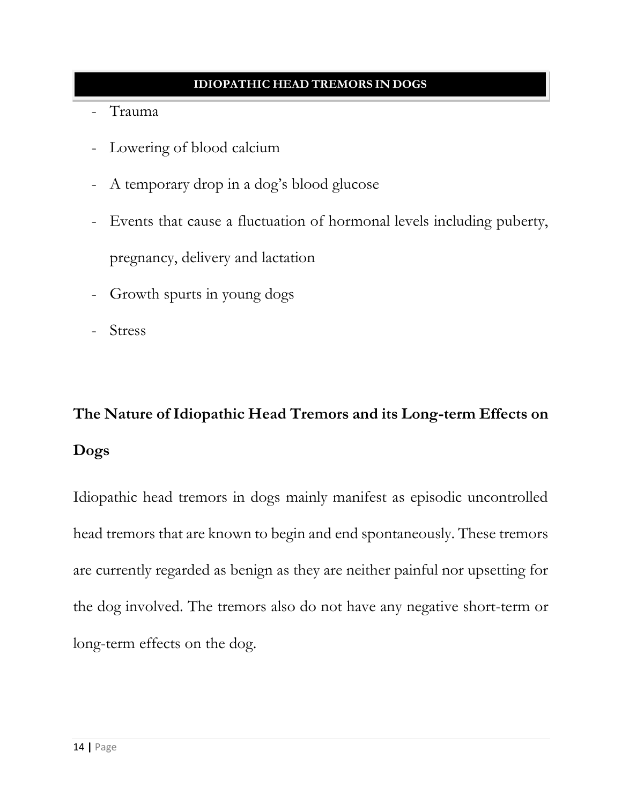- Trauma
- Lowering of blood calcium
- A temporary drop in a dog's blood glucose
- Events that cause a fluctuation of hormonal levels including puberty, pregnancy, delivery and lactation
- Growth spurts in young dogs
- Stress

# **The Nature of Idiopathic Head Tremors and its Long-term Effects on Dogs**

Idiopathic head tremors in dogs mainly manifest as episodic uncontrolled head tremors that are known to begin and end spontaneously. These tremors are currently regarded as benign as they are neither painful nor upsetting for the dog involved. The tremors also do not have any negative short-term or long-term effects on the dog.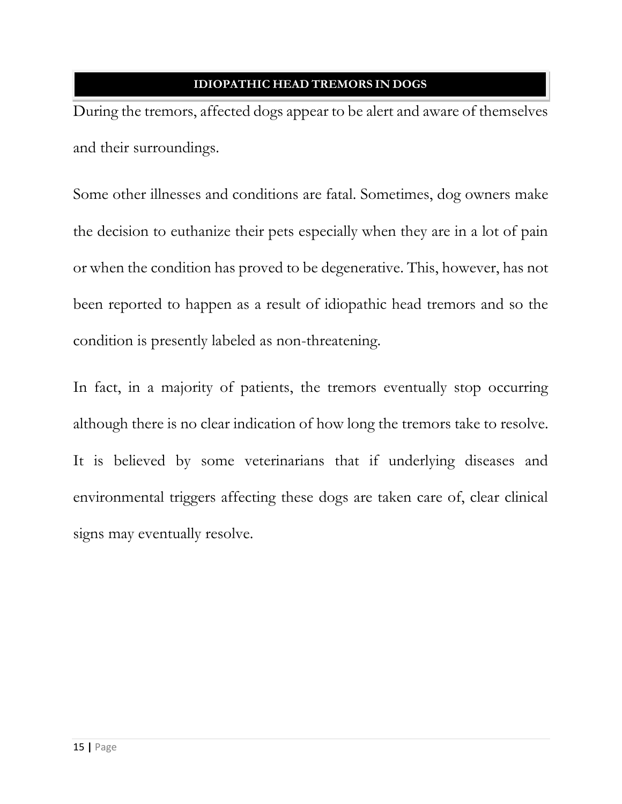During the tremors, affected dogs appear to be alert and aware of themselves and their surroundings.

Some other illnesses and conditions are fatal. Sometimes, dog owners make the decision to euthanize their pets especially when they are in a lot of pain or when the condition has proved to be degenerative. This, however, has not been reported to happen as a result of idiopathic head tremors and so the condition is presently labeled as non-threatening.

In fact, in a majority of patients, the tremors eventually stop occurring although there is no clear indication of how long the tremors take to resolve. It is believed by some veterinarians that if underlying diseases and environmental triggers affecting these dogs are taken care of, clear clinical signs may eventually resolve.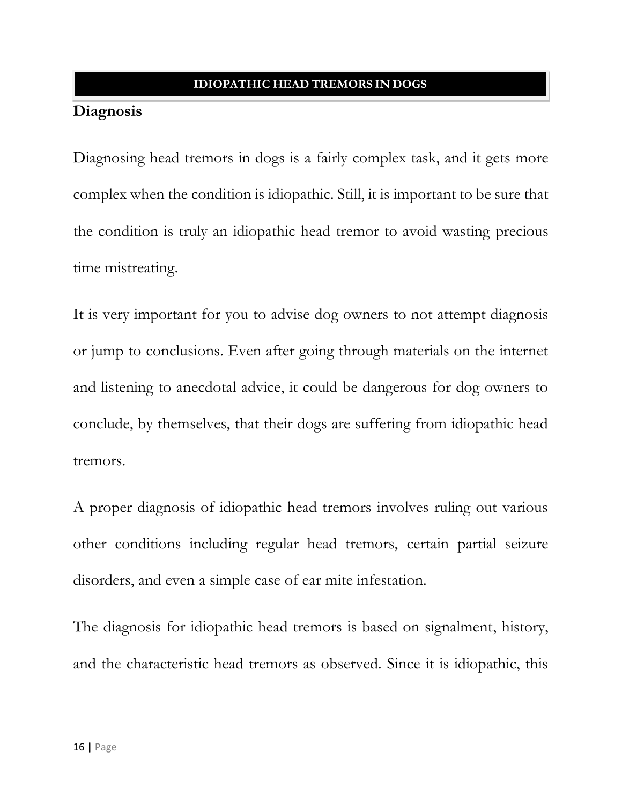## **Diagnosis**

Diagnosing head tremors in dogs is a fairly complex task, and it gets more complex when the condition is idiopathic. Still, it is important to be sure that the condition is truly an idiopathic head tremor to avoid wasting precious time mistreating.

It is very important for you to advise dog owners to not attempt diagnosis or jump to conclusions. Even after going through materials on the internet and listening to anecdotal advice, it could be dangerous for dog owners to conclude, by themselves, that their dogs are suffering from idiopathic head tremors.

A proper diagnosis of idiopathic head tremors involves ruling out various other conditions including regular head tremors, certain partial seizure disorders, and even a simple case of ear mite infestation.

The diagnosis for idiopathic head tremors is based on signalment, history, and the characteristic head tremors as observed. Since it is idiopathic, this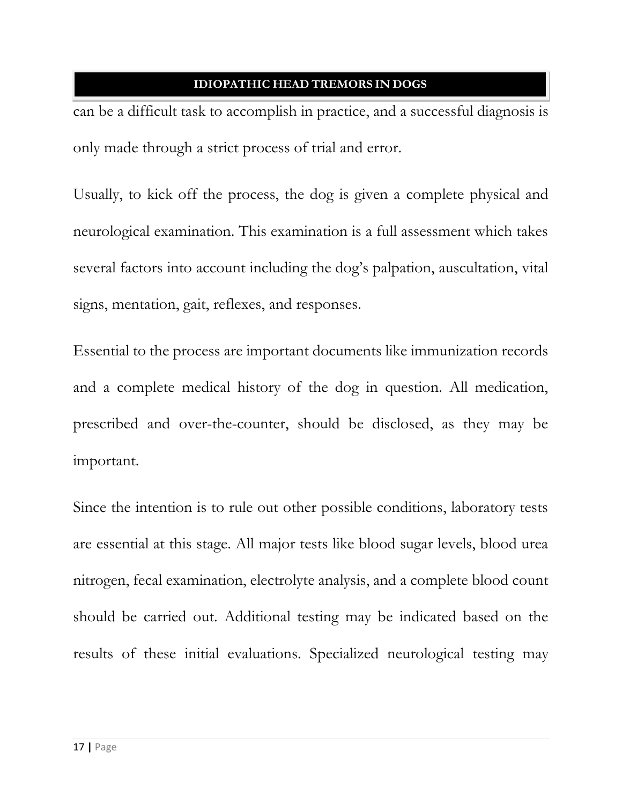can be a difficult task to accomplish in practice, and a successful diagnosis is only made through a strict process of trial and error.

Usually, to kick off the process, the dog is given a complete physical and neurological examination. This examination is a full assessment which takes several factors into account including the dog's palpation, auscultation, vital signs, mentation, gait, reflexes, and responses.

Essential to the process are important documents like immunization records and a complete medical history of the dog in question. All medication, prescribed and over-the-counter, should be disclosed, as they may be important.

Since the intention is to rule out other possible conditions, laboratory tests are essential at this stage. All major tests like blood sugar levels, blood urea nitrogen, fecal examination, electrolyte analysis, and a complete blood count should be carried out. Additional testing may be indicated based on the results of these initial evaluations. Specialized neurological testing may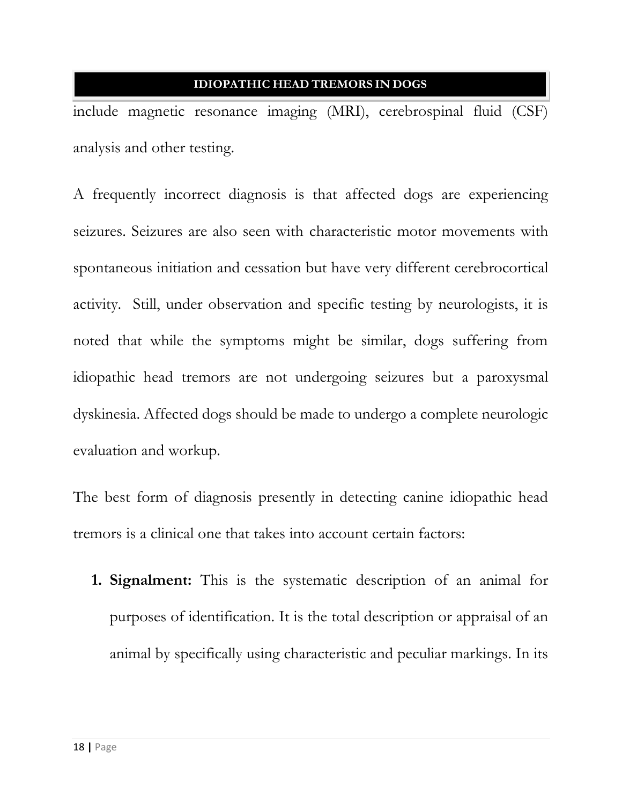include magnetic resonance imaging (MRI), cerebrospinal fluid (CSF) analysis and other testing.

A frequently incorrect diagnosis is that affected dogs are experiencing seizures. Seizures are also seen with characteristic motor movements with spontaneous initiation and cessation but have very different cerebrocortical activity. Still, under observation and specific testing by neurologists, it is noted that while the symptoms might be similar, dogs suffering from idiopathic head tremors are not undergoing seizures but a paroxysmal dyskinesia. Affected dogs should be made to undergo a complete neurologic evaluation and workup.

The best form of diagnosis presently in detecting canine idiopathic head tremors is a clinical one that takes into account certain factors:

**1. Signalment:** This is the systematic description of an animal for purposes of identification. It is the total description or appraisal of an animal by specifically using characteristic and peculiar markings. In its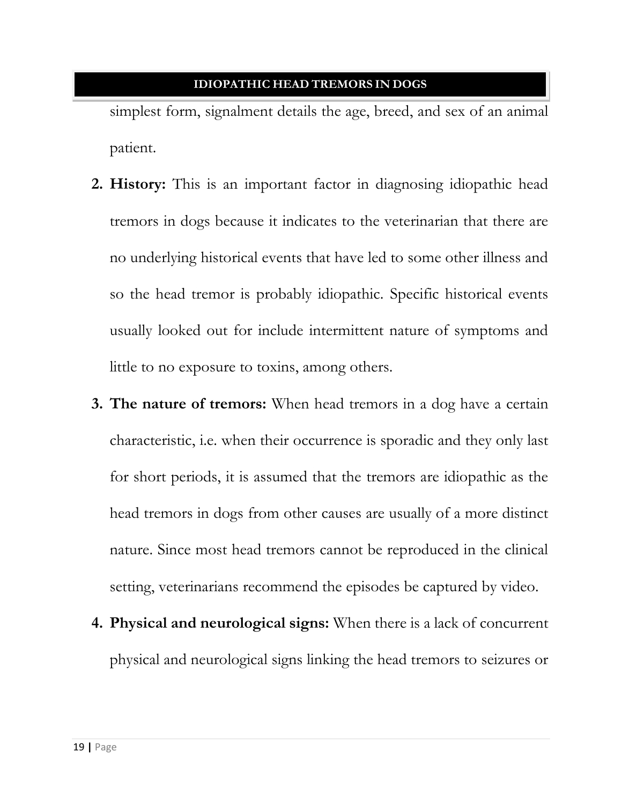simplest form, signalment details the age, breed, and sex of an animal patient.

- **2. History:** This is an important factor in diagnosing idiopathic head tremors in dogs because it indicates to the veterinarian that there are no underlying historical events that have led to some other illness and so the head tremor is probably idiopathic. Specific historical events usually looked out for include intermittent nature of symptoms and little to no exposure to toxins, among others.
- **3. The nature of tremors:** When head tremors in a dog have a certain characteristic, i.e. when their occurrence is sporadic and they only last for short periods, it is assumed that the tremors are idiopathic as the head tremors in dogs from other causes are usually of a more distinct nature. Since most head tremors cannot be reproduced in the clinical setting, veterinarians recommend the episodes be captured by video.
- **4. Physical and neurological signs:** When there is a lack of concurrent physical and neurological signs linking the head tremors to seizures or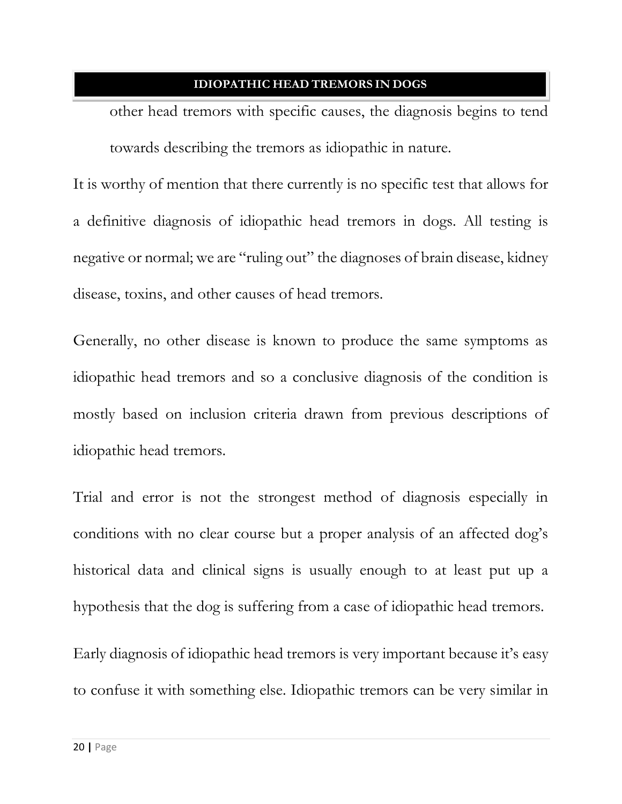other head tremors with specific causes, the diagnosis begins to tend towards describing the tremors as idiopathic in nature.

It is worthy of mention that there currently is no specific test that allows for a definitive diagnosis of idiopathic head tremors in dogs. All testing is negative or normal; we are "ruling out" the diagnoses of brain disease, kidney disease, toxins, and other causes of head tremors.

Generally, no other disease is known to produce the same symptoms as idiopathic head tremors and so a conclusive diagnosis of the condition is mostly based on inclusion criteria drawn from previous descriptions of idiopathic head tremors.

Trial and error is not the strongest method of diagnosis especially in conditions with no clear course but a proper analysis of an affected dog's historical data and clinical signs is usually enough to at least put up a hypothesis that the dog is suffering from a case of idiopathic head tremors.

Early diagnosis of idiopathic head tremors is very important because it's easy to confuse it with something else. Idiopathic tremors can be very similar in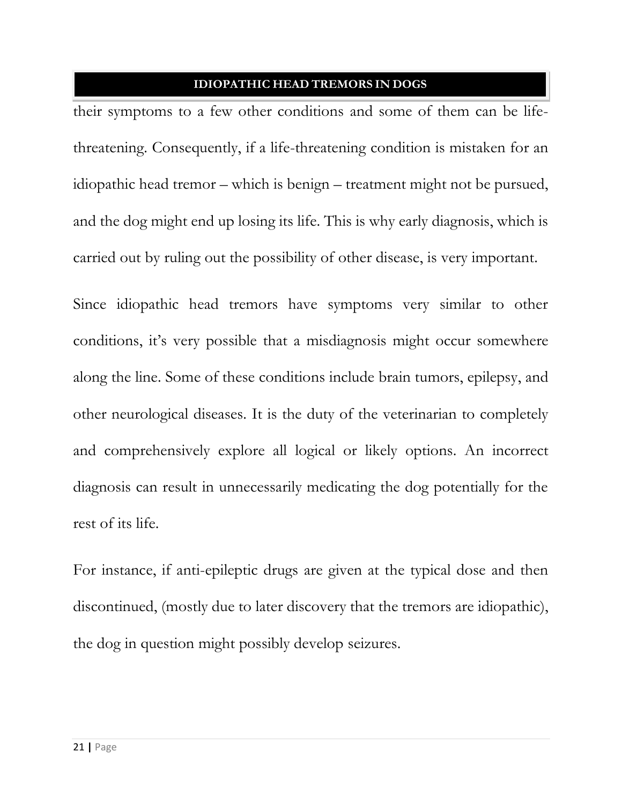their symptoms to a few other conditions and some of them can be lifethreatening. Consequently, if a life-threatening condition is mistaken for an idiopathic head tremor – which is benign – treatment might not be pursued, and the dog might end up losing its life. This is why early diagnosis, which is carried out by ruling out the possibility of other disease, is very important.

Since idiopathic head tremors have symptoms very similar to other conditions, it's very possible that a misdiagnosis might occur somewhere along the line. Some of these conditions include brain tumors, epilepsy, and other neurological diseases. It is the duty of the veterinarian to completely and comprehensively explore all logical or likely options. An incorrect diagnosis can result in unnecessarily medicating the dog potentially for the rest of its life.

For instance, if anti-epileptic drugs are given at the typical dose and then discontinued, (mostly due to later discovery that the tremors are idiopathic), the dog in question might possibly develop seizures.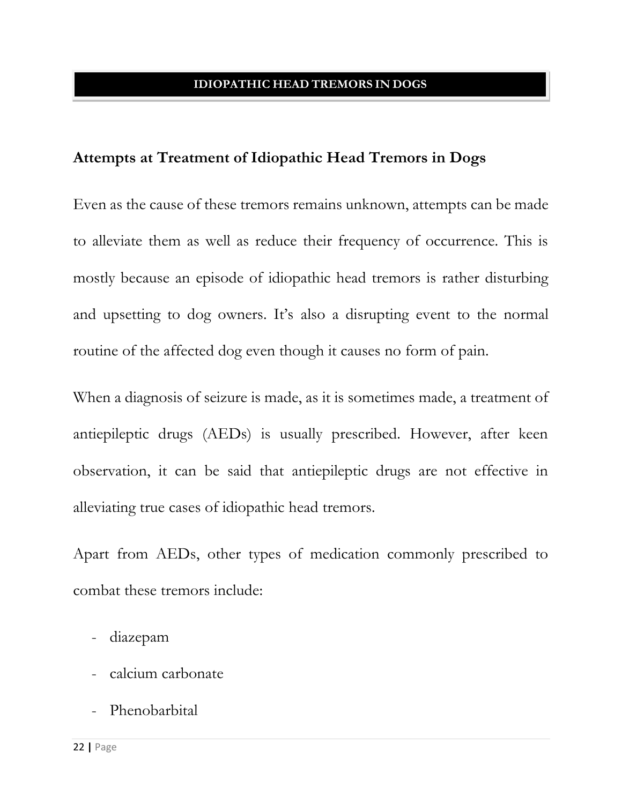## **Attempts at Treatment of Idiopathic Head Tremors in Dogs**

Even as the cause of these tremors remains unknown, attempts can be made to alleviate them as well as reduce their frequency of occurrence. This is mostly because an episode of idiopathic head tremors is rather disturbing and upsetting to dog owners. It's also a disrupting event to the normal routine of the affected dog even though it causes no form of pain.

When a diagnosis of seizure is made, as it is sometimes made, a treatment of antiepileptic drugs (AEDs) is usually prescribed. However, after keen observation, it can be said that antiepileptic drugs are not effective in alleviating true cases of idiopathic head tremors.

Apart from AEDs, other types of medication commonly prescribed to combat these tremors include:

- diazepam
- calcium carbonate
- Phenobarbital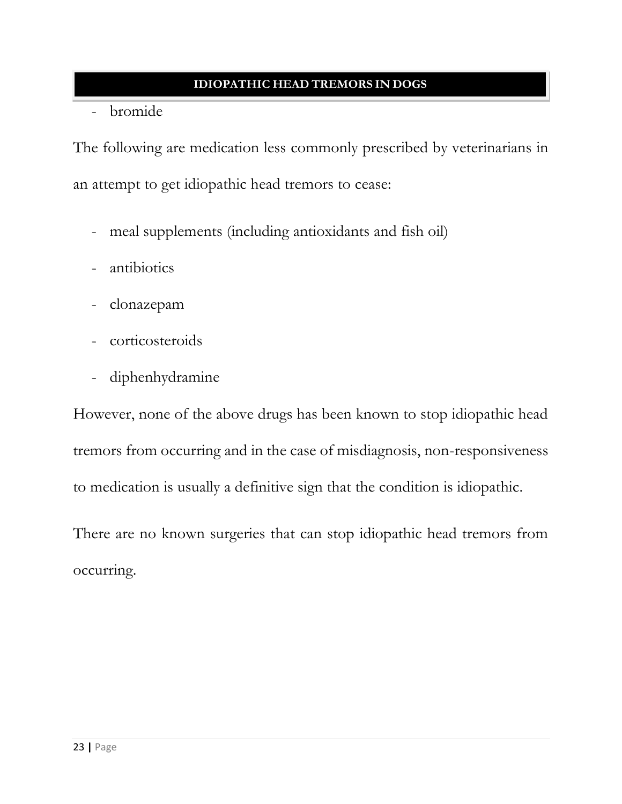- bromide

The following are medication less commonly prescribed by veterinarians in an attempt to get idiopathic head tremors to cease:

- meal supplements (including antioxidants and fish oil)
- antibiotics
- clonazepam
- corticosteroids
- diphenhydramine

However, none of the above drugs has been known to stop idiopathic head tremors from occurring and in the case of misdiagnosis, non-responsiveness to medication is usually a definitive sign that the condition is idiopathic.

There are no known surgeries that can stop idiopathic head tremors from occurring.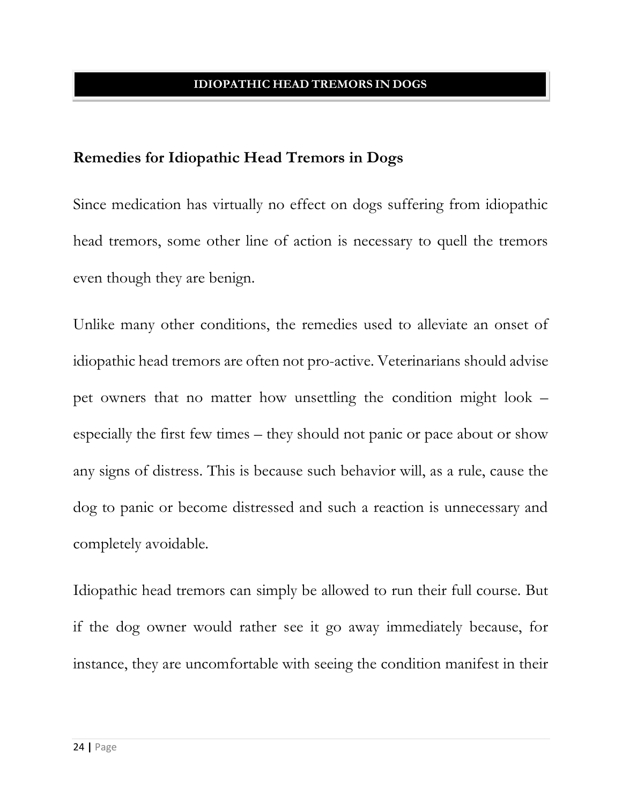### **Remedies for Idiopathic Head Tremors in Dogs**

Since medication has virtually no effect on dogs suffering from idiopathic head tremors, some other line of action is necessary to quell the tremors even though they are benign.

Unlike many other conditions, the remedies used to alleviate an onset of idiopathic head tremors are often not pro-active. Veterinarians should advise pet owners that no matter how unsettling the condition might look – especially the first few times – they should not panic or pace about or show any signs of distress. This is because such behavior will, as a rule, cause the dog to panic or become distressed and such a reaction is unnecessary and completely avoidable.

Idiopathic head tremors can simply be allowed to run their full course. But if the dog owner would rather see it go away immediately because, for instance, they are uncomfortable with seeing the condition manifest in their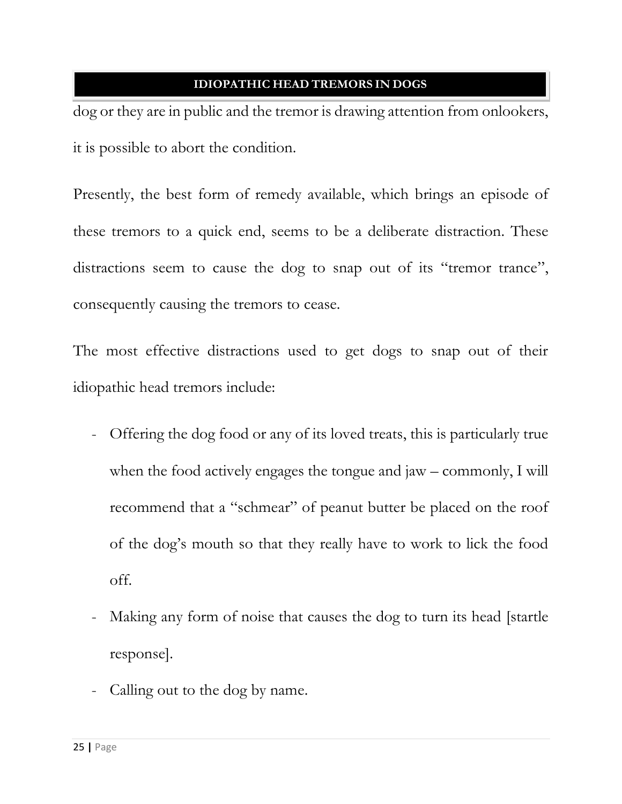dog or they are in public and the tremor is drawing attention from onlookers, it is possible to abort the condition.

Presently, the best form of remedy available, which brings an episode of these tremors to a quick end, seems to be a deliberate distraction. These distractions seem to cause the dog to snap out of its "tremor trance", consequently causing the tremors to cease.

The most effective distractions used to get dogs to snap out of their idiopathic head tremors include:

- Offering the dog food or any of its loved treats, this is particularly true when the food actively engages the tongue and jaw – commonly, I will recommend that a "schmear" of peanut butter be placed on the roof of the dog's mouth so that they really have to work to lick the food off.
- Making any form of noise that causes the dog to turn its head [startle response].
- Calling out to the dog by name.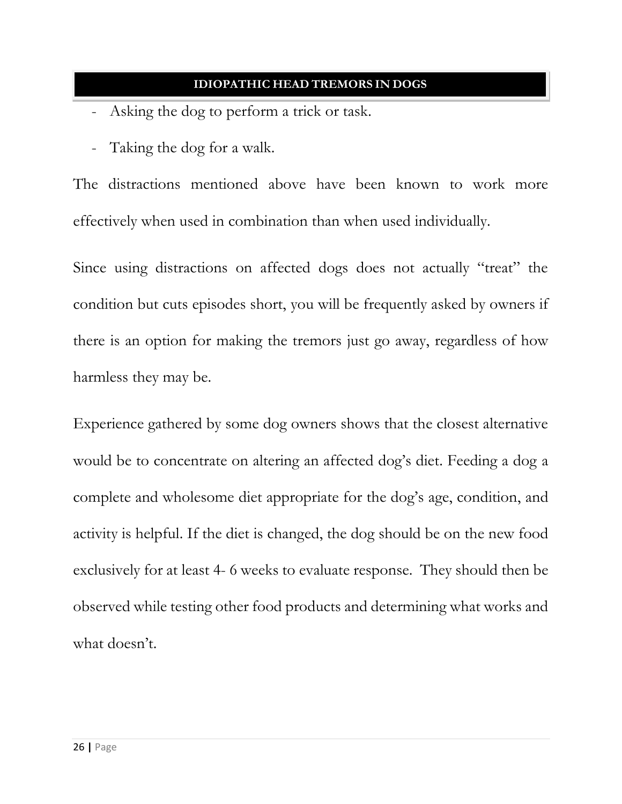- Asking the dog to perform a trick or task.
- Taking the dog for a walk.

The distractions mentioned above have been known to work more effectively when used in combination than when used individually.

Since using distractions on affected dogs does not actually "treat" the condition but cuts episodes short, you will be frequently asked by owners if there is an option for making the tremors just go away, regardless of how harmless they may be.

Experience gathered by some dog owners shows that the closest alternative would be to concentrate on altering an affected dog's diet. Feeding a dog a complete and wholesome diet appropriate for the dog's age, condition, and activity is helpful. If the diet is changed, the dog should be on the new food exclusively for at least 4- 6 weeks to evaluate response. They should then be observed while testing other food products and determining what works and what doesn't.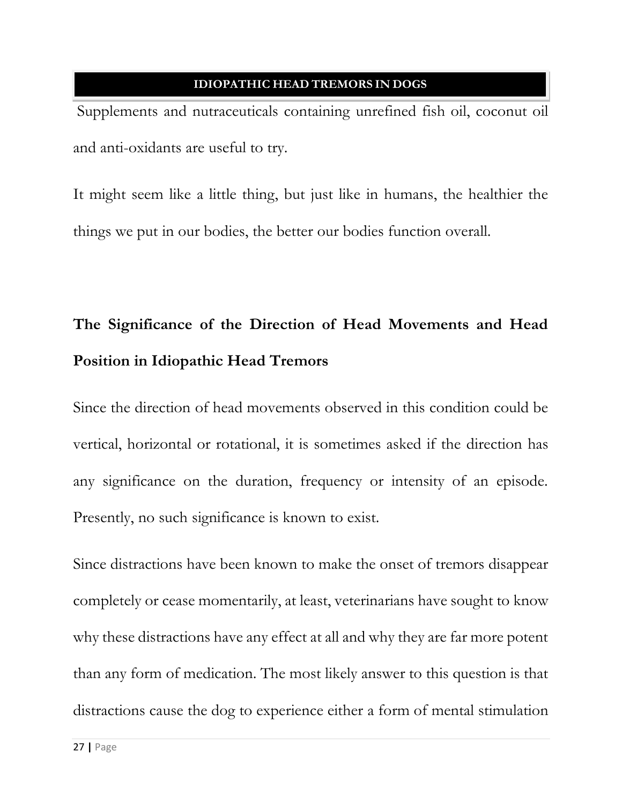Supplements and nutraceuticals containing unrefined fish oil, coconut oil and anti-oxidants are useful to try.

It might seem like a little thing, but just like in humans, the healthier the things we put in our bodies, the better our bodies function overall.

# **The Significance of the Direction of Head Movements and Head Position in Idiopathic Head Tremors**

Since the direction of head movements observed in this condition could be vertical, horizontal or rotational, it is sometimes asked if the direction has any significance on the duration, frequency or intensity of an episode. Presently, no such significance is known to exist.

Since distractions have been known to make the onset of tremors disappear completely or cease momentarily, at least, veterinarians have sought to know why these distractions have any effect at all and why they are far more potent than any form of medication. The most likely answer to this question is that distractions cause the dog to experience either a form of mental stimulation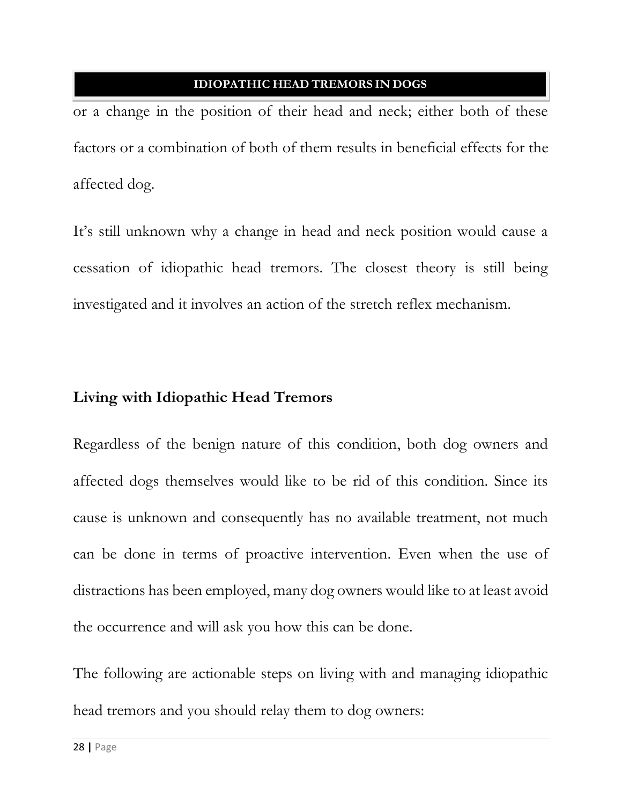or a change in the position of their head and neck; either both of these factors or a combination of both of them results in beneficial effects for the affected dog.

It's still unknown why a change in head and neck position would cause a cessation of idiopathic head tremors. The closest theory is still being investigated and it involves an action of the stretch reflex mechanism.

## **Living with Idiopathic Head Tremors**

Regardless of the benign nature of this condition, both dog owners and affected dogs themselves would like to be rid of this condition. Since its cause is unknown and consequently has no available treatment, not much can be done in terms of proactive intervention. Even when the use of distractions has been employed, many dog owners would like to at least avoid the occurrence and will ask you how this can be done.

The following are actionable steps on living with and managing idiopathic head tremors and you should relay them to dog owners: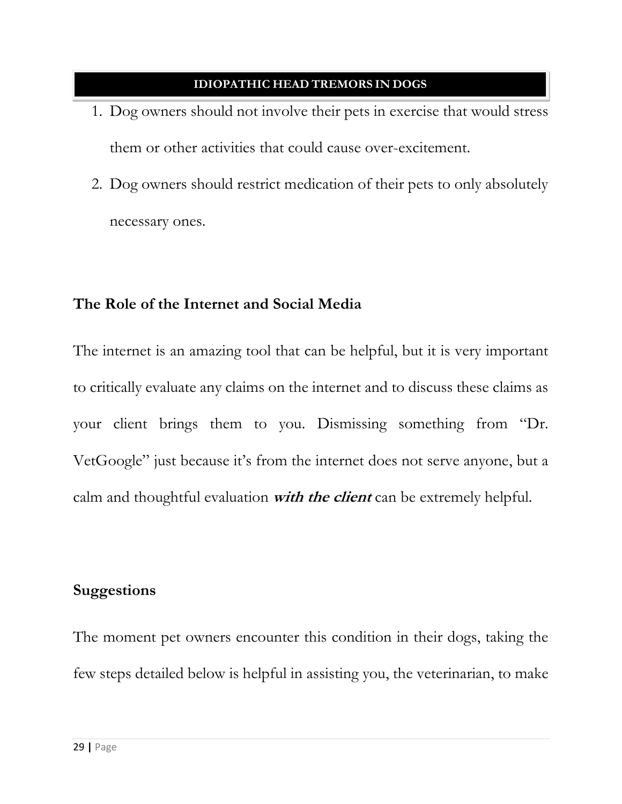- 1. Dog owners should not involve their pets in exercise that would stress them or other activities that could cause over-excitement.
- 2. Dog owners should restrict medication of their pets to only absolutely necessary ones.

## **The Role of the Internet and Social Media**

The internet is an amazing tool that can be helpful, but it is very important to critically evaluate any claims on the internet and to discuss these claims as your client brings them to you. Dismissing something from "Dr. VetGoogle" just because it's from the internet does not serve anyone, but a calm and thoughtful evaluation **with the client** can be extremely helpful.

## **Suggestions**

The moment pet owners encounter this condition in their dogs, taking the few steps detailed below is helpful in assisting you, the veterinarian, to make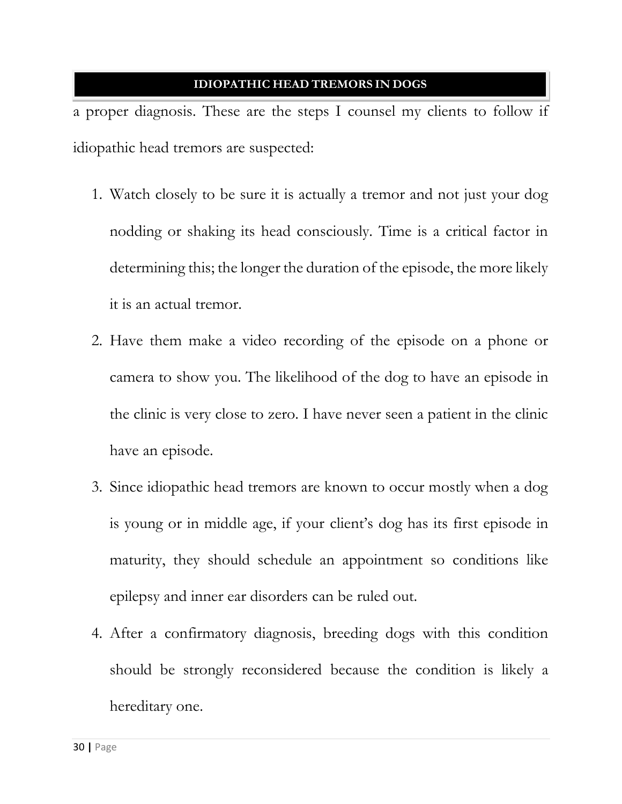a proper diagnosis. These are the steps I counsel my clients to follow if idiopathic head tremors are suspected:

- 1. Watch closely to be sure it is actually a tremor and not just your dog nodding or shaking its head consciously. Time is a critical factor in determining this; the longer the duration of the episode, the more likely it is an actual tremor.
- 2. Have them make a video recording of the episode on a phone or camera to show you. The likelihood of the dog to have an episode in the clinic is very close to zero. I have never seen a patient in the clinic have an episode.
- 3. Since idiopathic head tremors are known to occur mostly when a dog is young or in middle age, if your client's dog has its first episode in maturity, they should schedule an appointment so conditions like epilepsy and inner ear disorders can be ruled out.
- 4. After a confirmatory diagnosis, breeding dogs with this condition should be strongly reconsidered because the condition is likely a hereditary one.